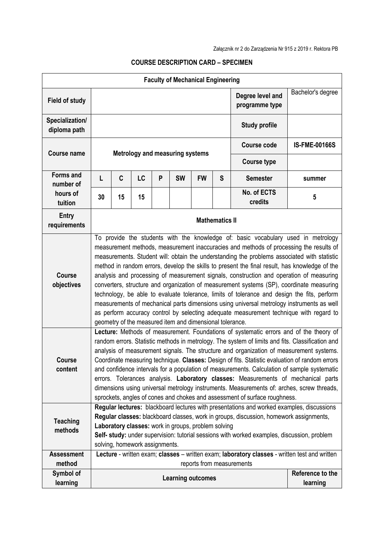## **Faculty of Mechanical Engineering Field of study Degree level and <b>Properties programme type** Bachelor's degree **Specialization/ diploma path Study profile Course name Metrology and measuring systems Course code IS-FME-00166S Course type Forms and number of hours of tuition L C LC P SW FW S Semester summer <sup>30</sup> <sup>15</sup> <sup>15</sup> No. of ECTS Ro.** of ECTS **5 Entry requirements Mathematics II**<br> **requirements Course objectives** To provide the students with the knowledge of: basic vocabulary used in metrology measurement methods, measurement inaccuracies and methods of processing the results of measurements. Student will: obtain the understanding the problems associated with statistic method in random errors, develop the skills to present the final result, has knowledge of the analysis and processing of measurement signals, construction and operation of measuring converters, structure and organization of measurement systems (SP), coordinate measuring technology, be able to evaluate tolerance, limits of tolerance and design the fits, perform measurements of mechanical parts dimensions using universal metrology instruments as well as perform accuracy control by selecting adequate measurement technique with regard to geometry of the measured item and dimensional tolerance. **Course content Lecture:** Methods of measurement. Foundations of systematic errors and of the theory of random errors. Statistic methods in metrology. The system of limits and fits. Classification and analysis of measurement signals. The structure and organization of measurement systems. Coordinate measuring technique. **Classes:** Design of fits. Statistic evaluation of random errors and confidence intervals for a population of measurements. Calculation of sample systematic errors. Tolerances analysis. **Laboratory classes:** Measurements of mechanical parts dimensions using universal metrology instruments. Measurements of: arches, screw threads, sprockets, angles of cones and chokes and assessment of surface roughness. **Teaching methods Regular lectures:** blackboard lectures with presentations and worked examples, discussions **Regular classes:** blackboard classes, work in groups, discussion, homework assignments, **Laboratory classes:** work in groups, problem solving **Self- study:** under supervision: tutorial sessions with worked examples, discussion, problem solving, homework assignments. **Assessment method Lecture** - written exam; **classes** – written exam; **laboratory classes** - written test and written reports from measurements **Symbol of l** Reference to the **Reference to the arming outcomes** and a set of the searning  $\begin{bmatrix} R_{\text{e}} & R_{\text{e}} & R_{\text{e}} \\ R_{\text{e}} & R_{\text{e}} & R_{\text{e}} \end{bmatrix}$ **learning**

## **COURSE DESCRIPTION CARD – SPECIMEN**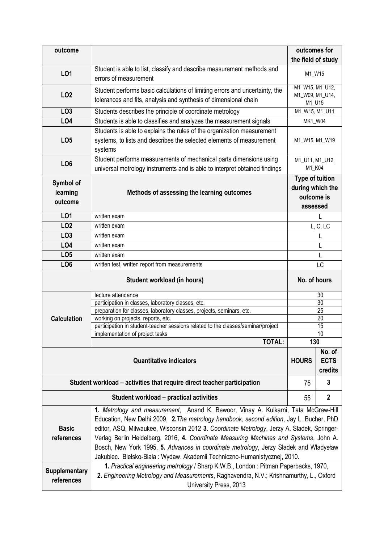| outcome                                     |                                                                                                                                                                                                                                                                                                                                                                                                                                                                                                                                                                                                                                    | outcomes for                                                         |                                  |
|---------------------------------------------|------------------------------------------------------------------------------------------------------------------------------------------------------------------------------------------------------------------------------------------------------------------------------------------------------------------------------------------------------------------------------------------------------------------------------------------------------------------------------------------------------------------------------------------------------------------------------------------------------------------------------------|----------------------------------------------------------------------|----------------------------------|
|                                             |                                                                                                                                                                                                                                                                                                                                                                                                                                                                                                                                                                                                                                    | the field of study                                                   |                                  |
| L01                                         | Student is able to list, classify and describe measurement methods and<br>errors of measurement                                                                                                                                                                                                                                                                                                                                                                                                                                                                                                                                    | M1_W15                                                               |                                  |
| L <sub>02</sub>                             | Student performs basic calculations of limiting errors and uncertainty, the<br>tolerances and fits, analysis and synthesis of dimensional chain                                                                                                                                                                                                                                                                                                                                                                                                                                                                                    | M1_W15, M1_U12,<br>M1_W09, M1_U14,<br>M1_U15                         |                                  |
| LO <sub>3</sub>                             | Students describes the principle of coordinate metrology                                                                                                                                                                                                                                                                                                                                                                                                                                                                                                                                                                           | M1_W15, M1_U11                                                       |                                  |
| LO4                                         | Students is able to classifies and analyzes the measurement signals                                                                                                                                                                                                                                                                                                                                                                                                                                                                                                                                                                | MK1_W04                                                              |                                  |
| LO <sub>5</sub>                             | Students is able to explains the rules of the organization measurement<br>systems, to lists and describes the selected elements of measurement<br>systems                                                                                                                                                                                                                                                                                                                                                                                                                                                                          | M1_W15, M1_W19                                                       |                                  |
| LO <sub>6</sub>                             | Student performs measurements of mechanical parts dimensions using<br>universal metrology instruments and is able to interpret obtained findings                                                                                                                                                                                                                                                                                                                                                                                                                                                                                   | M1_U11, M1_U12,<br>M1_K04                                            |                                  |
| Symbol of<br>learning<br>outcome            | Methods of assessing the learning outcomes                                                                                                                                                                                                                                                                                                                                                                                                                                                                                                                                                                                         | <b>Type of tuition</b><br>during which the<br>outcome is<br>assessed |                                  |
| L01                                         | written exam                                                                                                                                                                                                                                                                                                                                                                                                                                                                                                                                                                                                                       |                                                                      |                                  |
| LO <sub>2</sub>                             | written exam                                                                                                                                                                                                                                                                                                                                                                                                                                                                                                                                                                                                                       |                                                                      | L, C, LC                         |
| LO <sub>3</sub>                             | written exam                                                                                                                                                                                                                                                                                                                                                                                                                                                                                                                                                                                                                       |                                                                      |                                  |
| LO4                                         | written exam                                                                                                                                                                                                                                                                                                                                                                                                                                                                                                                                                                                                                       |                                                                      | L                                |
| LO <sub>5</sub>                             | written exam                                                                                                                                                                                                                                                                                                                                                                                                                                                                                                                                                                                                                       |                                                                      | L                                |
| LO <sub>6</sub>                             | written test, written report from measurements                                                                                                                                                                                                                                                                                                                                                                                                                                                                                                                                                                                     |                                                                      | <b>LC</b>                        |
| Student workload (in hours)                 |                                                                                                                                                                                                                                                                                                                                                                                                                                                                                                                                                                                                                                    | No. of hours                                                         |                                  |
|                                             |                                                                                                                                                                                                                                                                                                                                                                                                                                                                                                                                                                                                                                    |                                                                      |                                  |
|                                             | lecture attendance                                                                                                                                                                                                                                                                                                                                                                                                                                                                                                                                                                                                                 |                                                                      | 30                               |
|                                             | participation in classes, laboratory classes, etc.                                                                                                                                                                                                                                                                                                                                                                                                                                                                                                                                                                                 |                                                                      | 30                               |
|                                             | preparation for classes, laboratory classes, projects, seminars, etc.                                                                                                                                                                                                                                                                                                                                                                                                                                                                                                                                                              |                                                                      | 25<br>20                         |
| <b>Calculation</b>                          | working on projects, reports, etc.<br>participation in student-teacher sessions related to the classes/seminar/project                                                                                                                                                                                                                                                                                                                                                                                                                                                                                                             |                                                                      | 15                               |
|                                             | implementation of project tasks                                                                                                                                                                                                                                                                                                                                                                                                                                                                                                                                                                                                    |                                                                      | 10                               |
|                                             | <b>TOTAL:</b>                                                                                                                                                                                                                                                                                                                                                                                                                                                                                                                                                                                                                      | 130                                                                  |                                  |
|                                             | <b>Quantitative indicators</b>                                                                                                                                                                                                                                                                                                                                                                                                                                                                                                                                                                                                     | <b>HOURS</b>                                                         | No. of<br><b>ECTS</b><br>credits |
|                                             | Student workload - activities that require direct teacher participation                                                                                                                                                                                                                                                                                                                                                                                                                                                                                                                                                            | 75                                                                   | 3                                |
|                                             | Student workload - practical activities                                                                                                                                                                                                                                                                                                                                                                                                                                                                                                                                                                                            | 55                                                                   | $\boldsymbol{2}$                 |
| <b>Basic</b><br>references<br>Supplementary | 1. Metrology and measurement, Anand K. Bewoor, Vinay A. Kulkarni, Tata McGraw-Hill<br>Education, New Delhi 2009, 2. The metrology handbook, second edition, Jay L. Bucher, PhD<br>editor, ASQ, Milwaukee, Wisconsin 2012 3. Coordinate Metrology, Jerzy A. Sładek, Springer-<br>Verlag Berlin Heidelberg, 2016, 4. Coordinate Measuring Machines and Systems, John A.<br>Bosch, New York 1995, 5. Advances in coordinate metrology, Jerzy Sładek and Władysław<br>Jakubiec. Bielsko-Biała: Wydaw. Akademii Techniczno-Humanistycznej, 2010.<br>1. Practical engineering metrology / Sharp K.W.B., London: Pitman Paperbacks, 1970, |                                                                      |                                  |